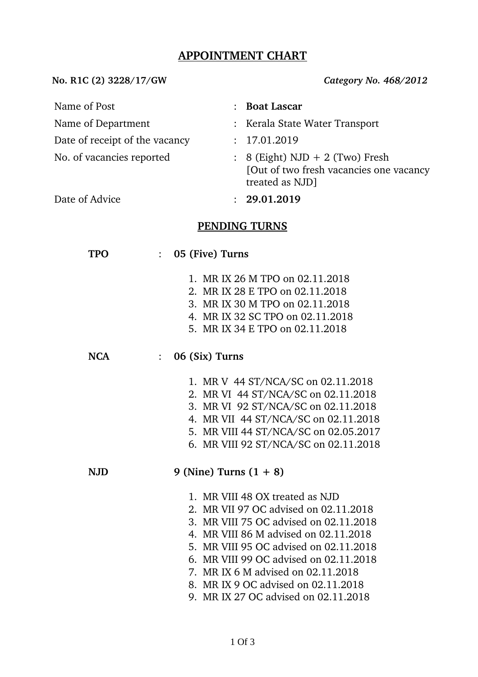## **APPOINTMENT CHART**

No. R1C (2) 3228/17/GW Category No. 468/2012

| Name of Post                                          | <b>Boat Lascar</b>                                                                                   |  |  |  |  |  |
|-------------------------------------------------------|------------------------------------------------------------------------------------------------------|--|--|--|--|--|
| Name of Department                                    | : Kerala State Water Transport                                                                       |  |  |  |  |  |
| Date of receipt of the vacancy                        | 17.01.2019                                                                                           |  |  |  |  |  |
| No. of vacancies reported                             | $\colon$ 8 (Eight) NJD + 2 (Two) Fresh<br>[Out of two fresh vacancies one vacancy<br>treated as NJD] |  |  |  |  |  |
| Date of Advice                                        | : 29.01.2019                                                                                         |  |  |  |  |  |
| <b>PENDING TURNS</b><br>05 (Five) Turns<br><b>TPO</b> |                                                                                                      |  |  |  |  |  |
|                                                       | 1. MR IX 26 M TPO on 02.11.2018<br>2. MR IX 28 E TPO on 02.11.2018                                   |  |  |  |  |  |

- 3. MR IX 30 M TPO on 02.11.2018
- 4. MR IX 32 SC TPO on 02.11.2018
- 5. MR IX 34 E TPO on 02.11.2018

### **NCA** : **06 (Six) Turns**

- 1. MR V 44 ST/NCA/SC on 02.11.2018
- 2. MR VI 44 ST/NCA/SC on 02.11.2018
- 3. MR VI 92 ST/NCA/SC on 02.11.2018
- 4. MR VII 44 ST/NCA/SC on 02.11.2018
- 5. MR VIII 44 ST/NCA/SC on 02.05.2017
- 6. MR VIII 92 ST/NCA/SC on 02.11.2018

### **NJD 9 (Nine) Turns (1 + 8)**

- 1. MR VIII 48 OX treated as NJD
- 2. MR VII 97 OC advised on 02.11.2018
- 3. MR VIII 75 OC advised on 02.11.2018
- 4. MR VIII 86 M advised on 02.11.2018
- 5. MR VIII 95 OC advised on 02.11.2018
- 6. MR VIII 99 OC advised on 02.11.2018
- 7. MR IX 6 M advised on 02.11.2018
- 8. MR IX 9 OC advised on 02.11.2018
- 9. MR IX 27 OC advised on 02.11.2018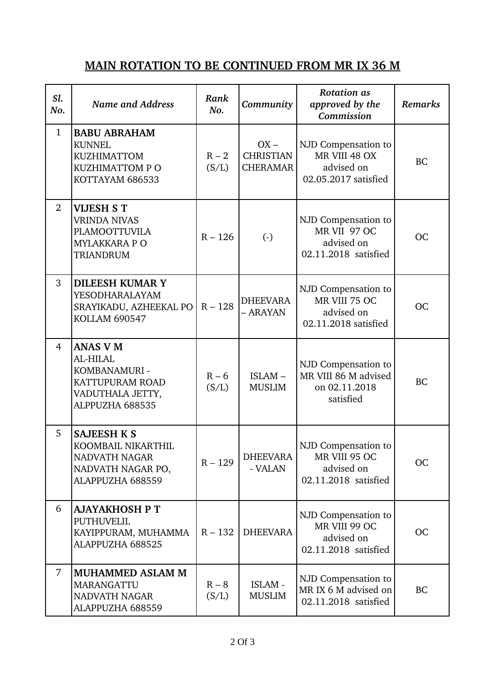# **MAIN ROTATION TO BE CONTINUED FROM MR IX 36 M**

| Sl.<br>No.     | <b>Name and Address</b>                                                                                      | Rank<br>No.      | Community                                     | <b>Rotation</b> as<br>approved by the<br>Commission                        | Remarks   |
|----------------|--------------------------------------------------------------------------------------------------------------|------------------|-----------------------------------------------|----------------------------------------------------------------------------|-----------|
| $\mathbf{1}$   | <b>BABU ABRAHAM</b><br><b>KUNNEL</b><br><b>KUZHIMATTOM</b><br>KUZHIMATTOM PO<br>KOTTAYAM 686533              | $R - 2$<br>(S/L) | $OX -$<br><b>CHRISTIAN</b><br><b>CHERAMAR</b> | NJD Compensation to<br>MR VIII 48 OX<br>advised on<br>02.05.2017 satisfied | <b>BC</b> |
| $\overline{2}$ | <b>VIJESH S T</b><br><b>VRINDA NIVAS</b><br><b>PLAMOOTTUVILA</b><br><b>MYLAKKARA P O</b><br><b>TRIANDRUM</b> | $R - 126$        | $\left( \cdot \right)$                        | NJD Compensation to<br>MR VII 97 OC<br>advised on<br>02.11.2018 satisfied  | <b>OC</b> |
| 3              | <b>DILEESH KUMAR Y</b><br>YESODHARALAYAM<br>SRAYIKADU, AZHEEKAL PO  <br><b>KOLLAM 690547</b>                 | $R - 128$        | DHEEVARA<br>- ARAYAN                          | NJD Compensation to<br>MR VIII 75 OC<br>advised on<br>02.11.2018 satisfied | <b>OC</b> |
| $\overline{4}$ | <b>ANAS V M</b><br>AL-HILAL<br>KOMBANAMURI -<br>KATTUPURAM ROAD<br>VADUTHALA JETTY,<br>ALPPUZHA 688535       | $R - 6$<br>(S/L) | $ISLAM -$<br><b>MUSLIM</b>                    | NJD Compensation to<br>MR VIII 86 M advised<br>on 02.11.2018<br>satisfied  | <b>BC</b> |
| 5              | <b>SAJEESH K S</b><br>KOOMBAIL NIKARTHIL<br>NADVATH NAGAR<br>NADVATH NAGAR PO,<br>ALAPPUZHA 688559           | $R - 129$        | <b>DHEEVARA</b><br>- VALAN                    | NJD Compensation to<br>MR VIII 95 OC<br>advised on<br>02.11.2018 satisfied | <b>OC</b> |
| 6              | <b>AJAYAKHOSH P T</b><br><b>PUTHUVELIL</b><br>KAYIPPURAM, MUHAMMA<br>ALAPPUZHA 688525                        | $R - 132$        | <b>DHEEVARA</b>                               | NJD Compensation to<br>MR VIII 99 OC<br>advised on<br>02.11.2018 satisfied | <b>OC</b> |
| $\overline{7}$ | <b>MUHAMMED ASLAM M</b><br>MARANGATTU<br>NADVATH NAGAR<br>ALAPPUZHA 688559                                   | $R - 8$<br>(S/L) | ISLAM -<br><b>MUSLIM</b>                      | NJD Compensation to<br>MR IX 6 M advised on<br>02.11.2018 satisfied        | <b>BC</b> |